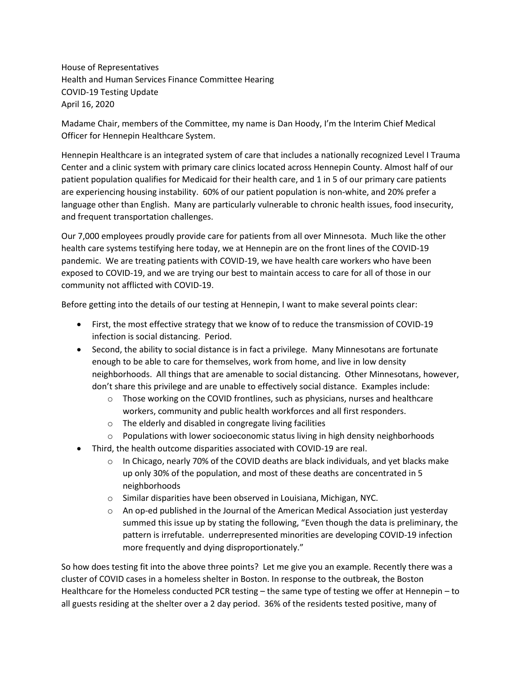House of Representatives Health and Human Services Finance Committee Hearing COVID-19 Testing Update April 16, 2020

Madame Chair, members of the Committee, my name is Dan Hoody, I'm the Interim Chief Medical Officer for Hennepin Healthcare System.

Hennepin Healthcare is an integrated system of care that includes a nationally recognized Level I Trauma Center and a clinic system with primary care clinics located across Hennepin County. Almost half of our patient population qualifies for Medicaid for their health care, and 1 in 5 of our primary care patients are experiencing housing instability. 60% of our patient population is non-white, and 20% prefer a language other than English. Many are particularly vulnerable to chronic health issues, food insecurity, and frequent transportation challenges.

Our 7,000 employees proudly provide care for patients from all over Minnesota. Much like the other health care systems testifying here today, we at Hennepin are on the front lines of the COVID-19 pandemic. We are treating patients with COVID-19, we have health care workers who have been exposed to COVID-19, and we are trying our best to maintain access to care for all of those in our community not afflicted with COVID-19.

Before getting into the details of our testing at Hennepin, I want to make several points clear:

- First, the most effective strategy that we know of to reduce the transmission of COVID-19 infection is social distancing. Period.
- Second, the ability to social distance is in fact a privilege. Many Minnesotans are fortunate enough to be able to care for themselves, work from home, and live in low density neighborhoods. All things that are amenable to social distancing. Other Minnesotans, however, don't share this privilege and are unable to effectively social distance. Examples include:
	- $\circ$  Those working on the COVID frontlines, such as physicians, nurses and healthcare workers, community and public health workforces and all first responders.
	- o The elderly and disabled in congregate living facilities
	- $\circ$  Populations with lower socioeconomic status living in high density neighborhoods
- Third, the health outcome disparities associated with COVID-19 are real.
	- $\circ$  In Chicago, nearly 70% of the COVID deaths are black individuals, and yet blacks make up only 30% of the population, and most of these deaths are concentrated in 5 neighborhoods
	- o Similar disparities have been observed in Louisiana, Michigan, NYC.
	- $\circ$  An op-ed published in the Journal of the American Medical Association just yesterday summed this issue up by stating the following, "Even though the data is preliminary, the pattern is irrefutable. underrepresented minorities are developing COVID-19 infection more frequently and dying disproportionately."

So how does testing fit into the above three points? Let me give you an example. Recently there was a cluster of COVID cases in a homeless shelter in Boston. In response to the outbreak, the Boston Healthcare for the Homeless conducted PCR testing – the same type of testing we offer at Hennepin – to all guests residing at the shelter over a 2 day period. 36% of the residents tested positive, many of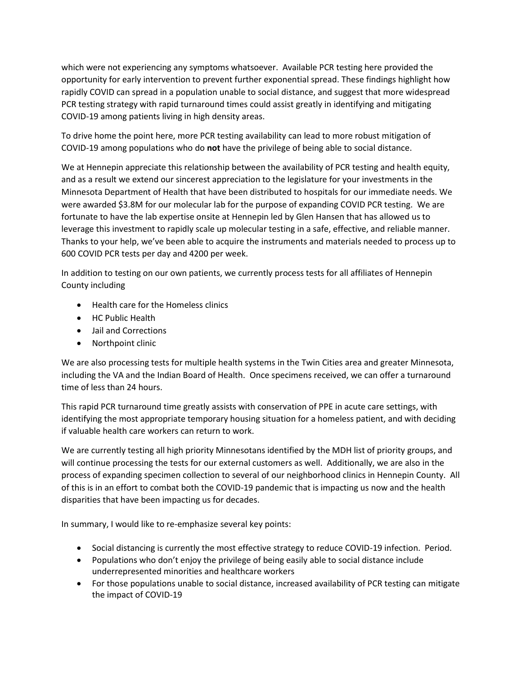which were not experiencing any symptoms whatsoever. Available PCR testing here provided the opportunity for early intervention to prevent further exponential spread. These findings highlight how rapidly COVID can spread in a population unable to social distance, and suggest that more widespread PCR testing strategy with rapid turnaround times could assist greatly in identifying and mitigating COVID-19 among patients living in high density areas.

To drive home the point here, more PCR testing availability can lead to more robust mitigation of COVID-19 among populations who do **not** have the privilege of being able to social distance.

We at Hennepin appreciate this relationship between the availability of PCR testing and health equity, and as a result we extend our sincerest appreciation to the legislature for your investments in the Minnesota Department of Health that have been distributed to hospitals for our immediate needs. We were awarded \$3.8M for our molecular lab for the purpose of expanding COVID PCR testing. We are fortunate to have the lab expertise onsite at Hennepin led by Glen Hansen that has allowed us to leverage this investment to rapidly scale up molecular testing in a safe, effective, and reliable manner. Thanks to your help, we've been able to acquire the instruments and materials needed to process up to 600 COVID PCR tests per day and 4200 per week.

In addition to testing on our own patients, we currently process tests for all affiliates of Hennepin County including

- Health care for the Homeless clinics
- HC Public Health
- Jail and Corrections
- Northpoint clinic

We are also processing tests for multiple health systems in the Twin Cities area and greater Minnesota, including the VA and the Indian Board of Health. Once specimens received, we can offer a turnaround time of less than 24 hours.

This rapid PCR turnaround time greatly assists with conservation of PPE in acute care settings, with identifying the most appropriate temporary housing situation for a homeless patient, and with deciding if valuable health care workers can return to work.

We are currently testing all high priority Minnesotans identified by the MDH list of priority groups, and will continue processing the tests for our external customers as well. Additionally, we are also in the process of expanding specimen collection to several of our neighborhood clinics in Hennepin County. All of this is in an effort to combat both the COVID-19 pandemic that is impacting us now and the health disparities that have been impacting us for decades.

In summary, I would like to re-emphasize several key points:

- Social distancing is currently the most effective strategy to reduce COVID-19 infection. Period.
- Populations who don't enjoy the privilege of being easily able to social distance include underrepresented minorities and healthcare workers
- For those populations unable to social distance, increased availability of PCR testing can mitigate the impact of COVID-19